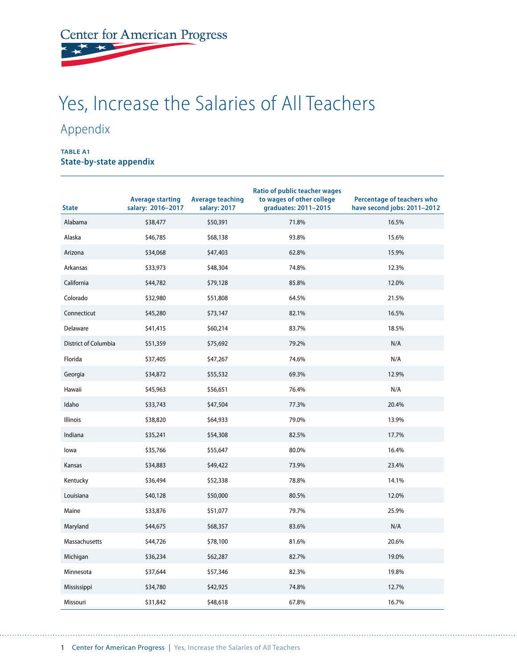## Center for American Progress

## Yes, Increase the Salaries of All Teachers

## Appendix

## **TABLE A1 State-by-state appendix**

| <b>State</b>         | <b>Average starting</b><br>salary: 2016-2017 | <b>Average teaching</b><br>salary: 2017 | <b>Ratio of public teacher wages</b><br>to wages of other college<br>graduates: 2011-2015 | Percentage of teachers who<br>have second jobs: 2011-2012 |
|----------------------|----------------------------------------------|-----------------------------------------|-------------------------------------------------------------------------------------------|-----------------------------------------------------------|
| Alabama              | \$38,477                                     | \$50,391                                | 71.8%                                                                                     | 16.5%                                                     |
| Alaska               | \$46,785                                     | \$68,138                                | 93.8%                                                                                     | 15.6%                                                     |
| Arizona              | \$34,068                                     | \$47,403                                | 62.8%                                                                                     | 15.9%                                                     |
| Arkansas             | \$33,973                                     | \$48,304                                | 74.8%                                                                                     | 12.3%                                                     |
| California           | \$44,782                                     | \$79,128                                | 85.8%                                                                                     | 12.0%                                                     |
| Colorado             | \$32,980                                     | \$51,808                                | 64.5%                                                                                     | 21.5%                                                     |
| Connecticut          | \$45,280                                     | \$73,147                                | 82.1%                                                                                     | 16.5%                                                     |
| Delaware             | \$41,415                                     | \$60,214                                | 83.7%                                                                                     | 18.5%                                                     |
| District of Columbia | \$51,359                                     | \$75,692                                | 79.2%                                                                                     | N/A                                                       |
| Florida              | \$37,405                                     | \$47,267                                | 74.6%                                                                                     | N/A                                                       |
| Georgia              | \$34,872                                     | \$55,532                                | 69.3%                                                                                     | 12.9%                                                     |
| Hawaii               | \$45,963                                     | \$56,651                                | 76.4%                                                                                     | N/A                                                       |
| Idaho                | \$33,743                                     | \$47,504                                | 77.3%                                                                                     | 20.4%                                                     |
| <b>Illinois</b>      | \$38,820                                     | \$64,933                                | 79.0%                                                                                     | 13.9%                                                     |
| Indiana              | \$35,241                                     | \$54,308                                | 82.5%                                                                                     | 17.7%                                                     |
| lowa                 | \$35,766                                     | \$55,647                                | 80.0%                                                                                     | 16.4%                                                     |
| Kansas               | \$34,883                                     | \$49,422                                | 73.9%                                                                                     | 23.4%                                                     |
| Kentucky             | \$36,494                                     | \$52,338                                | 78.8%                                                                                     | 14.1%                                                     |
| Louisiana            | \$40,128                                     | \$50,000                                | 80.5%                                                                                     | 12.0%                                                     |
| Maine                | \$33,876                                     | \$51,077                                | 79.7%                                                                                     | 25.9%                                                     |
| Maryland             | \$44,675                                     | \$68,357                                | 83.6%                                                                                     | N/A                                                       |
| Massachusetts        | \$44,726                                     | \$78,100                                | 81.6%                                                                                     | 20.6%                                                     |
| Michigan             | \$36,234                                     | \$62,287                                | 82.7%                                                                                     | 19.0%                                                     |
| Minnesota            | \$37,644                                     | \$57,346                                | 82.3%                                                                                     | 19.8%                                                     |
| Mississippi          | \$34,780                                     | \$42,925                                | 74.8%                                                                                     | 12.7%                                                     |
| Missouri             | \$31,842                                     | \$48,618                                | 67.8%                                                                                     | 16.7%                                                     |